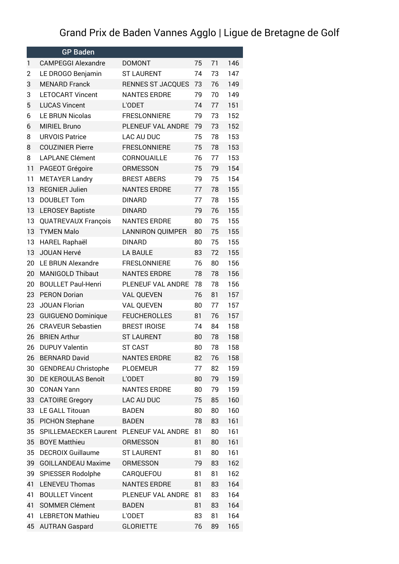## Grand Prix de Baden Vannes Agglo | Ligue de Bretagne de Golf

|    | <b>GP Baden</b>            |                         |    |          |     |
|----|----------------------------|-------------------------|----|----------|-----|
| 1  | <b>CAMPEGGI Alexandre</b>  | <b>DOMONT</b>           | 75 | 71       | 146 |
| 2  | LE DROGO Benjamin          | <b>ST LAURENT</b>       | 74 | 73       | 147 |
| 3  | <b>MENARD Franck</b>       | RENNES ST JACQUES       | 73 | 76       | 149 |
| 3  | <b>LETOCART Vincent</b>    | <b>NANTES ERDRE</b>     | 79 | 70       | 149 |
| 5  | <b>LUCAS Vincent</b>       | L'ODET                  | 74 | 77       | 151 |
| 6  | LE BRUN Nicolas            | <b>FRESLONNIERE</b>     | 79 | 73       | 152 |
| 6  | <b>MIRIEL Bruno</b>        | PLENEUF VAL ANDRE       | 79 | 73       | 152 |
| 8  | <b>URVOIS Patrice</b>      | LAC AU DUC              | 75 | 78       | 153 |
| 8  | <b>COUZINIER Pierre</b>    | <b>FRESLONNIERE</b>     | 75 | 78       | 153 |
| 8  | <b>LAPLANE Clément</b>     | CORNOUAILLE             | 76 | 77       | 153 |
| 11 | PAGEOT Grégoire            | <b>ORMESSON</b>         | 75 | 79       | 154 |
| 11 | <b>METAYER Landry</b>      | <b>BREST ABERS</b>      | 79 | 75       | 154 |
| 13 | <b>REGNIER Julien</b>      | <b>NANTES ERDRE</b>     | 77 | 78       | 155 |
| 13 | <b>DOUBLET Tom</b>         | <b>DINARD</b>           | 77 | 78       | 155 |
| 13 | <b>LEROSEY Baptiste</b>    | <b>DINARD</b>           | 79 | 76       | 155 |
| 13 | <b>QUATREVAUX François</b> | <b>NANTES ERDRE</b>     | 80 | 75       | 155 |
| 13 | <b>TYMEN Malo</b>          | <b>LANNIRON QUIMPER</b> | 80 | 75       | 155 |
| 13 | HAREL Raphaël              | <b>DINARD</b>           | 80 | 75       | 155 |
| 13 | <b>JOUAN Hervé</b>         | <b>LA BAULE</b>         | 83 | 72       | 155 |
| 20 | LE BRUN Alexandre          | <b>FRESLONNIERE</b>     | 76 | 80       | 156 |
| 20 | <b>MANIGOLD Thibaut</b>    | <b>NANTES ERDRE</b>     | 78 | 78       | 156 |
| 20 | <b>BOULLET Paul-Henri</b>  | PLENEUF VAL ANDRE       | 78 | 78       | 156 |
| 23 | <b>PERON Dorian</b>        | <b>VAL QUEVEN</b>       | 76 | 81       | 157 |
| 23 | <b>JOUAN Florian</b>       | <b>VAL QUEVEN</b>       | 80 | 77       | 157 |
| 23 | <b>GUIGUENO Dominique</b>  | <b>FEUCHEROLLES</b>     | 81 | 76       | 157 |
| 26 | <b>CRAVEUR Sebastien</b>   | <b>BREST IROISE</b>     | 74 | 84       | 158 |
| 26 | <b>BRIEN Arthur</b>        | <b>ST LAURENT</b>       | 80 | 78       | 158 |
| 26 | <b>DUPUY Valentin</b>      | <b>ST CAST</b>          | 80 | 78       | 158 |
| 26 | <b>BERNARD David</b>       | <b>NANTES ERDRE</b>     | 82 | 76       | 158 |
| 30 | <b>GENDREAU Christophe</b> | <b>PLOEMEUR</b>         | 77 | 82       | 159 |
| 30 | DE KEROULAS Benoît         | L'ODET                  | 80 | 79       | 159 |
| 30 | <b>CONAN Yann</b>          | <b>NANTES ERDRE</b>     | 80 | 79       | 159 |
| 33 | <b>CATOIRE Gregory</b>     | LAC AU DUC              | 75 | 85       | 160 |
| 33 | LE GALL Titouan            | <b>BADEN</b>            | 80 | 80       | 160 |
| 35 | PICHON Stephane            | <b>BADEN</b>            | 78 | 83       | 161 |
| 35 | SPILLEMAECKER Laurent      | PLENEUF VAL ANDRE       | 81 | 80       | 161 |
| 35 | <b>BOYE Matthieu</b>       | <b>ORMESSON</b>         | 81 | 80       | 161 |
| 35 | <b>DECROIX Guillaume</b>   | <b>ST LAURENT</b>       | 81 | 80       | 161 |
|    | <b>GOILLANDEAU Maxime</b>  |                         | 79 |          | 162 |
| 39 |                            | <b>ORMESSON</b>         |    | 83<br>81 | 162 |
| 39 | SPIESSER Rodolphe          | CARQUEFOU               | 81 |          |     |
| 41 | <b>LENEVEU Thomas</b>      | <b>NANTES ERDRE</b>     | 81 | 83       | 164 |
| 41 | <b>BOULLET Vincent</b>     | PLENEUF VAL ANDRE       | 81 | 83       | 164 |
| 41 | <b>SOMMER Clément</b>      | <b>BADEN</b>            | 81 | 83       | 164 |
| 41 | <b>LEBRETON Mathieu</b>    | L'ODET                  | 83 | 81       | 164 |
| 45 | <b>AUTRAN Gaspard</b>      | <b>GLORIETTE</b>        | 76 | 89       | 165 |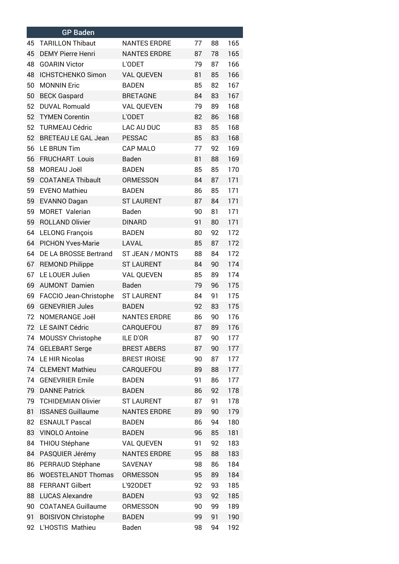|    | <b>GP Baden</b>            |                     |    |    |     |
|----|----------------------------|---------------------|----|----|-----|
| 45 | <b>TARILLON Thibaut</b>    | <b>NANTES ERDRE</b> | 77 | 88 | 165 |
| 45 | <b>DEMY Pierre Henri</b>   | <b>NANTES ERDRE</b> | 87 | 78 | 165 |
| 48 | <b>GOARIN Victor</b>       | L'ODET              | 79 | 87 | 166 |
| 48 | ICHSTCHENKO Simon          | <b>VAL QUEVEN</b>   | 81 | 85 | 166 |
| 50 | <b>MONNIN Eric</b>         | <b>BADEN</b>        | 85 | 82 | 167 |
| 50 | <b>BECK Gaspard</b>        | <b>BRETAGNE</b>     | 84 | 83 | 167 |
| 52 | <b>DUVAL Romuald</b>       | VAL QUEVEN          | 79 | 89 | 168 |
| 52 | <b>TYMEN Corentin</b>      | L'ODET              | 82 | 86 | 168 |
| 52 | <b>TURMEAU Cédric</b>      | LAC AU DUC          | 83 | 85 | 168 |
| 52 | <b>BRETEAU LE GAL Jean</b> | <b>PESSAC</b>       | 85 | 83 | 168 |
| 56 | <b>LE BRUN Tim</b>         | CAP MALO            | 77 | 92 | 169 |
| 56 | FRUCHART Louis             | Baden               | 81 | 88 | 169 |
| 58 | MOREAU Joël                | <b>BADEN</b>        | 85 | 85 | 170 |
| 59 | <b>COATANEA Thibault</b>   | <b>ORMESSON</b>     | 84 | 87 | 171 |
| 59 | <b>EVENO Mathieu</b>       | <b>BADEN</b>        | 86 | 85 | 171 |
| 59 | <b>EVANNO Dagan</b>        | <b>ST LAURENT</b>   | 87 | 84 | 171 |
| 59 | MORET Valerian             | Baden               | 90 | 81 | 171 |
| 59 | <b>ROLLAND Olivier</b>     | <b>DINARD</b>       | 91 | 80 | 171 |
| 64 | <b>LELONG François</b>     | <b>BADEN</b>        | 80 | 92 | 172 |
| 64 | <b>PICHON Yves-Marie</b>   | LAVAL               | 85 | 87 | 172 |
| 64 | DE LA BROSSE Bertrand      | ST JEAN / MONTS     | 88 | 84 | 172 |
| 67 | <b>REMOND Philippe</b>     | <b>ST LAURENT</b>   | 84 | 90 | 174 |
| 67 | LE LOUER Julien            | VAL QUEVEN          | 85 | 89 | 174 |
| 69 | <b>AUMONT Damien</b>       | Baden               | 79 | 96 | 175 |
| 69 | FACCIO Jean-Christophe     | <b>ST LAURENT</b>   | 84 | 91 | 175 |
| 69 | <b>GENEVRIER Jules</b>     | <b>BADEN</b>        | 92 | 83 | 175 |
| 72 | NOMERANGE Joël             | <b>NANTES ERDRE</b> | 86 | 90 | 176 |
| 72 | LE SAINT Cédric            | CARQUEFOU           | 87 | 89 | 176 |
| 74 | MOUSSY Christophe          | ILE D'OR            | 87 | 90 | 177 |
| 74 | <b>GELEBART Serge</b>      | <b>BREST ABERS</b>  | 87 | 90 | 177 |
| 74 | LE HIR Nicolas             | <b>BREST IROISE</b> | 90 | 87 | 177 |
| 74 | <b>CLEMENT Mathieu</b>     | CARQUEFOU           | 89 | 88 | 177 |
| 74 | <b>GENEVRIER Emile</b>     | <b>BADEN</b>        | 91 | 86 | 177 |
| 79 | <b>DANNE Patrick</b>       | <b>BADEN</b>        | 86 | 92 | 178 |
| 79 | <b>TCHIDEMIAN Olivier</b>  | <b>ST LAURENT</b>   | 87 | 91 | 178 |
| 81 | <b>ISSANES Guillaume</b>   | <b>NANTES ERDRE</b> | 89 | 90 | 179 |
| 82 | <b>ESNAULT Pascal</b>      | <b>BADEN</b>        | 86 | 94 | 180 |
| 83 | <b>VINOLO Antoine</b>      | <b>BADEN</b>        | 96 | 85 | 181 |
| 84 | THIOU Stéphane             | <b>VAL QUEVEN</b>   | 91 | 92 | 183 |
| 84 | PASQUIER Jérémy            | <b>NANTES ERDRE</b> | 95 | 88 | 183 |
| 86 | PERRAUD Stéphane           | SAVENAY             | 98 | 86 | 184 |
| 86 | <b>WOESTELANDT Thomas</b>  | <b>ORMESSON</b>     | 95 | 89 | 184 |
| 88 | <b>FERRANT Gilbert</b>     | L'920DET            | 92 | 93 | 185 |
| 88 | <b>LUCAS Alexandre</b>     | <b>BADEN</b>        | 93 | 92 | 185 |
| 90 | <b>COATANEA Guillaume</b>  | <b>ORMESSON</b>     | 90 | 99 | 189 |
| 91 | <b>BOISIVON Christophe</b> | <b>BADEN</b>        | 99 | 91 | 190 |
| 92 | L'HOSTIS Mathieu           | Baden               | 98 | 94 | 192 |
|    |                            |                     |    |    |     |